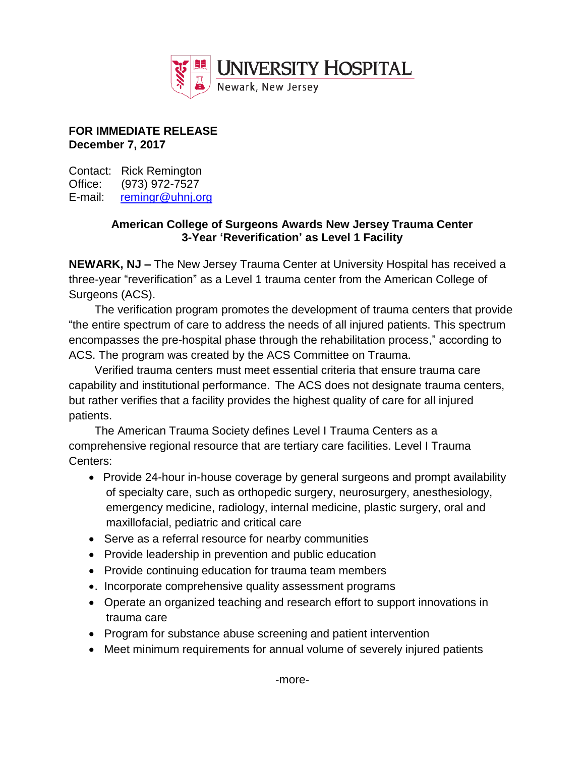

## **FOR IMMEDIATE RELEASE December 7, 2017**

Contact: Rick Remington Office: (973) 972-7527 E-mail: [remingr@uhnj.org](mailto:remingr@uhnj.org)

## **American College of Surgeons Awards New Jersey Trauma Center 3-Year 'Reverification' as Level 1 Facility**

**NEWARK, NJ –** The New Jersey Trauma Center at University Hospital has received a three-year "reverification" as a Level 1 trauma center from the American College of Surgeons (ACS).

The verification program promotes the development of trauma centers that provide "the entire spectrum of care to address the needs of all injured patients. This spectrum encompasses the pre-hospital phase through the rehabilitation process," according to ACS. The program was created by the ACS Committee on Trauma.

Verified trauma centers must meet essential criteria that ensure trauma care capability and institutional performance. The ACS does not designate trauma centers, but rather verifies that a facility provides the highest quality of care for all injured patients.

The American Trauma Society defines Level I Trauma Centers as a comprehensive regional resource that are tertiary care facilities. Level I Trauma Centers:

- Provide 24-hour in-house coverage by general surgeons and prompt availability of specialty care, such as orthopedic surgery, neurosurgery, anesthesiology, emergency medicine, radiology, internal medicine, plastic surgery, oral and maxillofacial, pediatric and critical care
- Serve as a referral resource for nearby communities
- Provide leadership in prevention and public education
- Provide continuing education for trauma team members
- . Incorporate comprehensive quality assessment programs
- Operate an organized teaching and research effort to support innovations in trauma care
- Program for substance abuse screening and patient intervention
- Meet minimum requirements for annual volume of severely injured patients